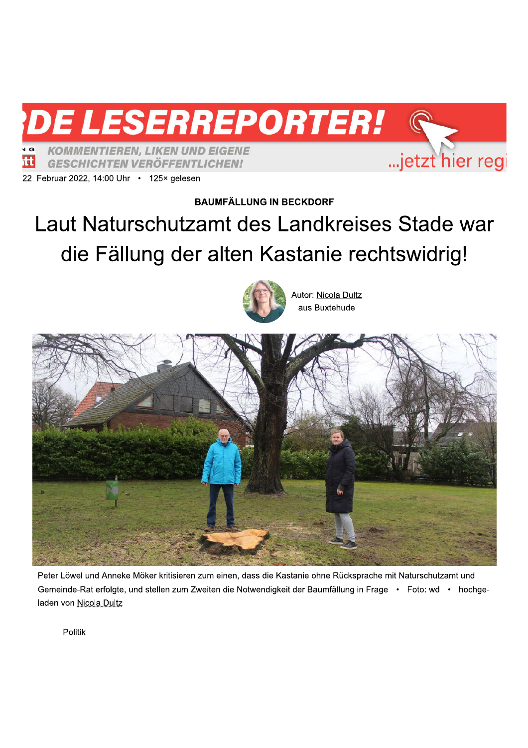**KOMMENTIEREN, LIKEN UND EIGENE tt GESCHICHTEN VERÖFFENTLICHEN!** 



**BAUMFÄLLUNG IN BECKDORF** 

**DE LESERREPORTER!** 

## Laut Naturschutzamt des Landkreises Stade war die Fällung der alten Kastanie rechtswidrig!



Autor: Nicola Dultz aus Buxtehude

...jetzt hier regi



Peter Löwel und Anneke Möker kritisieren zum einen, dass die Kastanie ohne Rücksprache mit Naturschutzamt und Gemeinde-Rat erfolgte, und stellen zum Zweiten die Notwendigkeit der Baumfällung in Frage • Foto: wd • hochgeladen von Nicola Dultz

Politik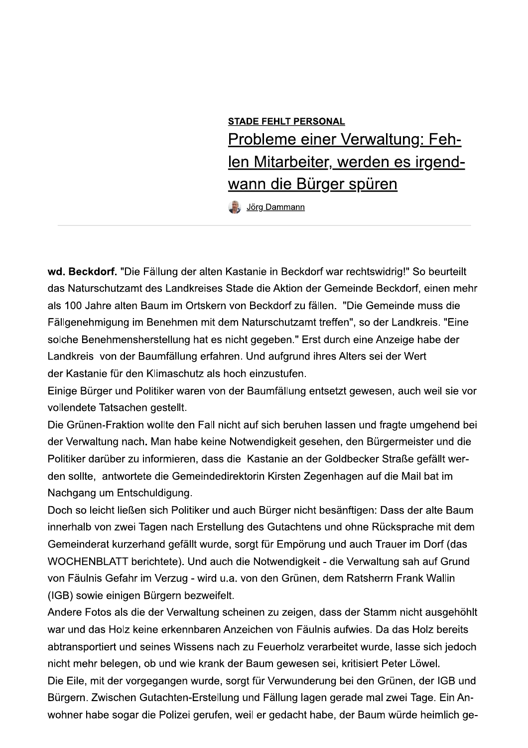## **STADE FEHLT PERSONAL** Probleme einer Verwaltung: Fehlen Mitarbeiter, werden es irgendwann die Bürger spüren

Jörg Dammann

wd. Beckdorf. "Die Fällung der alten Kastanie in Beckdorf war rechtswidrig!" So beurteilt das Naturschutzamt des Landkreises Stade die Aktion der Gemeinde Beckdorf, einen mehr als 100 Jahre alten Baum im Ortskern von Beckdorf zu fällen. "Die Gemeinde muss die Fällgenehmigung im Benehmen mit dem Naturschutzamt treffen", so der Landkreis. "Eine solche Benehmensherstellung hat es nicht gegeben." Erst durch eine Anzeige habe der Landkreis von der Baumfällung erfahren. Und aufgrund ihres Alters sei der Wert der Kastanie für den Klimaschutz als hoch einzustufen.

Einige Bürger und Politiker waren von der Baumfällung entsetzt gewesen, auch weil sie vor vollendete Tatsachen gestellt.

Die Grünen-Fraktion wollte den Fall nicht auf sich beruhen lassen und fragte umgehend bei der Verwaltung nach. Man habe keine Notwendigkeit gesehen, den Bürgermeister und die Politiker darüber zu informieren, dass die Kastanie an der Goldbecker Straße gefällt werden sollte, antwortete die Gemeindedirektorin Kirsten Zegenhagen auf die Mail bat im Nachgang um Entschuldigung.

Doch so leicht ließen sich Politiker und auch Bürger nicht besänftigen: Dass der alte Baum innerhalb von zwei Tagen nach Erstellung des Gutachtens und ohne Rücksprache mit dem Gemeinderat kurzerhand gefällt wurde, sorgt für Empörung und auch Trauer im Dorf (das WOCHENBLATT berichtete). Und auch die Notwendigkeit - die Verwaltung sah auf Grund von Fäulnis Gefahr im Verzug - wird u.a. von den Grünen, dem Ratsherrn Frank Wallin (IGB) sowie einigen Bürgern bezweifelt.

Andere Fotos als die der Verwaltung scheinen zu zeigen, dass der Stamm nicht ausgehöhlt war und das Holz keine erkennbaren Anzeichen von Fäulnis aufwies. Da das Holz bereits abtransportiert und seines Wissens nach zu Feuerholz verarbeitet wurde, lasse sich jedoch nicht mehr belegen, ob und wie krank der Baum gewesen sei, kritisiert Peter Löwel.

Die Eile, mit der vorgegangen wurde, sorgt für Verwunderung bei den Grünen, der IGB und Bürgern. Zwischen Gutachten-Erstellung und Fällung lagen gerade mal zwei Tage. Ein Anwohner habe sogar die Polizei gerufen, weil er gedacht habe, der Baum würde heimlich ge